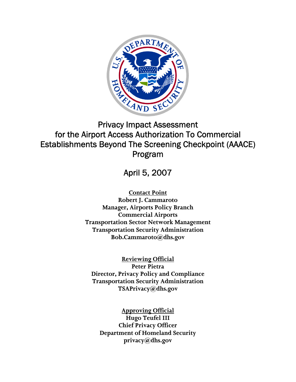

# Privacy Impact Assessment for the Airport Access Authorization To Commercial Establishments Beyond The Screening Checkpoint (AAACE) Program

April 5, 2007

**Contact Point Robert J. Cammaroto Manager, Airports Policy Branch Commercial Airports Transportation Sector Network Management Transportation Security Administration Bob.Cammaroto@dhs.gov** 

**Reviewing Official Peter Pietra Director, Privacy Policy and Compliance Transportation Security Administration TSAPrivacy@dhs.gov** 

**Approving Official Hugo Teufel III Chief Privacy Officer Department of Homeland Security privacy@dhs.gov**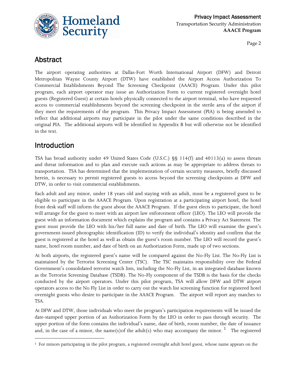

# Abstract

The airport operating authorities at Dallas-Fort Worth International Airport (DFW) and Detroit Metropolitan Wayne County Airport (DTW) have established the Airport Access Authorization To Commercial Establishments Beyond The Screening Checkpoint (AAACE) Program. Under this pilot program, each airport operator may issue an Authorization Form to current registered overnight hotel guests (Registered Guest) at certain hotels physically connected to the airport terminal, who have requested access to commercial establishments beyond the screening checkpoint in the sterile area of the airport if they meet the requirements of the program. This Privacy Impact Assessment (PIA) is being amended to reflect that additional airports may participate in the pilot under the same conditions described in the original PIA. The additional airports will be identified in Appendix B but will otherwise not be identified in the text.

# Introduction

<u> 1989 - Johann Barn, mars eta bainar eta industrial eta bainar eta baina eta baina eta baina eta baina eta ba</u>

TSA has broad authority under 49 United States Code (U.S.C.) §§ 114(f) and 40113(a) to assess threats and threat information and to plan and execute such actions as may be appropriate to address threats to transportation. TSA has determined that the implementation of certain security measures, briefly discussed herein, is necessary to permit registered guests to access beyond the screening checkpoints at DFW and DTW, in order to visit commercial establishments.

Each adult and any minor, under 18 years old and staying with an adult, must be a registered guest to be eligible to participate in the AAACE Program. Upon registration at a participating airport hotel, the hotel front desk staff will inform the guest about the AAACE Program. If the guest elects to participate, the hotel will arrange for the guest to meet with an airport law enforcement officer (LEO). The LEO will provide the guest with an information document which explains the program and contains a Privacy Act Statement. The guest must provide the LEO with his/her full name and date of birth. The LEO will examine the guest's government-issued photographic identification (ID) to verify the individual's identity and confirm that the guest is registered at the hotel as well as obtain the guest's room number. The LEO will record the guest's name, hotel room number, and date of birth on an Authorization Form, made up of two sections.

At both airports, the registered guest's name will be compared against the No-Fly List. The No-Fly List is maintained by the Terrorist Screening Center (TSC). The TSC maintains responsibility over the Federal Government's consolidated terrorist watch lists, including the No-Fly List, in an integrated database known as the Terrorist Screening Database (TSDB). The No-Fly component of the TSDB is the basis for the checks conducted by the airport operators. Under this pilot program, TSA will allow DFW and DTW airport operators access to the No Fly List in order to carry out the watch list screening function for registered hotel overnight guests who desire to participate in the AAACE Program. The airport will report any matches to TSA.

At DFW and DTW, those individuals who meet the program's participation requirements will be issued the date-stamped upper portion of an Authorization Form by the LEO in order to pass through security. The upper portion of the form contains the individual's name, date of birth, room number, the date of issuance and, in the case of a minor, the name(s)of the adult(s) who may accompany the minor. <sup>[1](#page-1-0)</sup> The registered

<span id="page-1-0"></span> $1$  For minors participating in the pilot program, a registered overnight adult hotel guest, whose name appears on the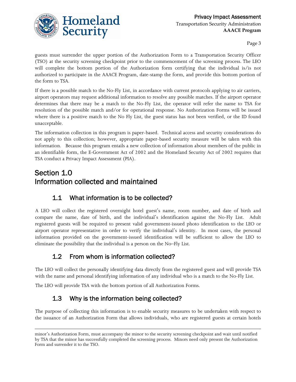

guests must surrender the upper portion of the Authorization Form to a Transportation Security Officer (TSO) at the security screening checkpoint prior to the commencement of the screening process. The LEO will complete the bottom portion of the Authorization form certifying that the individual is/is not authorized to participate in the AAACE Program, date-stamp the form, and provide this bottom portion of the form to TSA.

If there is a possible match to the No-Fly List, in accordance with current protocols applying to air carriers, airport operators may request additional information to resolve any possible matches. If the airport operator determines that there may be a match to the No-Fly List, the operator will refer the name to TSA for resolution of the possible match and/or for operational response. No Authorization Forms will be issued where there is a positive match to the No Fly List, the guest status has not been verified, or the ID found unacceptable.

The information collection in this program is paper-based. Technical access and security considerations do not apply to this collection; however, appropriate paper-based security measure will be taken with this information. Because this program entails a new collection of information about members of the public in an identifiable form, the E-Government Act of 2002 and the Homeland Security Act of 2002 requires that TSA conduct a Privacy Impact Assessment (PIA).

# Section 1.0 Information collected and maintained

### 1.1 What information is to be collected?

A LEO will collect the registered overnight hotel guest's name, room number, and date of birth and compare the name, date of birth, and the individual's identification against the No-Fly List. Adult registered guests will be required to present valid government-issued photo identification to the LEO or airport operator representative in order to verify the individual's identity. In most cases, the personal information provided on the government-issued identification will be sufficient to allow the LEO to eliminate the possibility that the individual is a person on the No–Fly List.

# 1.2 From whom is information collected?

The LEO will collect the personally identifying data directly from the registered guest and will provide TSA with the name and personal identifying information of any individual who is a match to the No-Fly List.

The LEO will provide TSA with the bottom portion of all Authorization Forms.

# 1.3 Why is the information being collected?

The purpose of collecting this information is to enable security measures to be undertaken with respect to the issuance of an Authorization Form that allows individuals, who are registered guests at certain hotels

minor's Authorization Form, must accompany the minor to the security screening checkpoint and wait until notified by TSA that the minor has successfully completed the screening process. Minors need only present the Authorization Form and surrender it to the TSO.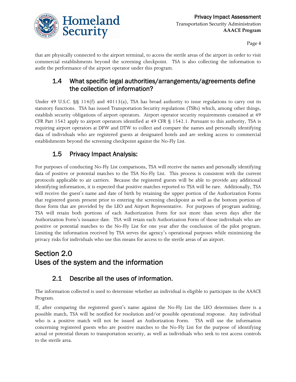

that are physically connected to the airport terminal, to access the sterile areas of the airport in order to visit commercial establishments beyond the screening checkpoint. TSA is also collecting the information to audit the performance of the airport operator under this program.

#### 1.4 What specific legal authorities/arrangements/agreements define the collection of information?

Under 49 U.S.C.  $\S$ § 114(f) and 40113(a), TSA has broad authority to issue regulations to carry out its statutory functions. TSA has issued Transportation Security regulations (TSRs) which, among other things, establish security obligations of airport operators. Airport operator security requirements contained at 49 CFR Part 1542 apply to airport operators identified at 49 CFR § 1542.1. Pursuant to this authority, TSA is requiring airport operators at DFW and DTW to collect and compare the names and personally identifying data of individuals who are registered guests at designated hotels and are seeking access to commercial establishments beyond the screening checkpoint against the No-Fly List.

### 1.5 Privacy Impact Analysis:

For purposes of conducting No-Fly List comparisons, TSA will receive the names and personally identifying data of positive or potential matches to the TSA No-Fly List. This process is consistent with the current protocols applicable to air carriers. Because the registered guests will be able to provide any additional identifying information, it is expected that positive matches reported to TSA will be rare. Additionally, TSA will receive the guest's name and date of birth by retaining the upper portion of the Authorization Forms that registered guests present prior to entering the screening checkpoint as well as the bottom portion of those form that are provided by the LEO and Airport Representative. For purposes of program auditing, TSA will retain both portions of each Authorization Form for not more than seven days after the Authorization Form's issuance date. TSA will retain each Authorization Form of those individuals who are positive or potential matches to the No-Fly List for one year after the conclusion of the pilot program. Limiting the information received by TSA serves the agency's operational purposes while minimizing the privacy risks for individuals who use this means for access to the sterile areas of an airport.

# Section 2.0 Uses of the system and the information

### 2.1 Describe all the uses of information.

The information collected is used to determine whether an individual is eligible to participate in the AAACE Program.

If, after comparing the registered guest's name against the No-Fly List the LEO determines there is a possible match, TSA will be notified for resolution and/or possible operational response. Any individual who is a positive match will not be issued an Authorization Form. TSA will use the information concerning registered guests who are positive matches to the No-Fly List for the purpose of identifying actual or potential threats to transportation security, as well as individuals who seek to test access controls to the sterile area.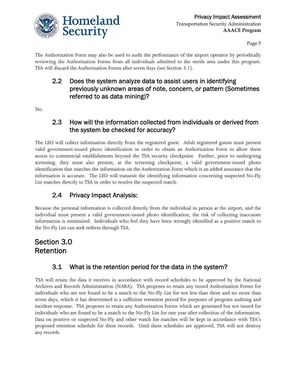

The Authorization Form may also be used to audit the performance of the airport operator by periodically reviewing the Authorization Forms from all individuals admitted to the sterile area under this program. TSA will discard the Authorization Forms after seven days (see Section 3.1).

### 2.2 Does the system analyze data to assist users in identifying previously unknown areas of note, concern, or pattern (Sometimes referred to as data mining)?

No.

#### 2.3 How will the information collected from individuals or derived from the system be checked for accuracy?

The LEO will collect information directly from the registered guest. Adult registered guests must present valid government-issued photo identification in order to obtain an Authorization Form to allow them access to commercial establishments beyond the TSA security checkpoint. Further, prior to undergoing screening, they must also present, at the screening checkpoint, a valid government-issued photo identification that matches the information on the Authorization Form which is an added assurance that the information is accurate. The LEO will transmit the identifying information concerning suspected No-Fly List matches directly to TSA in order to resolve the suspected match.

### 2.4 Privacy Impact Analysis:

Because the personal information is collected directly from the individual in person at the airport, and the individual must present a valid government-issued photo identification, the risk of collecting inaccurate information is minimized. Individuals who feel they have been wrongly identified as a positive match to the No-Fly List can seek redress through TSA.

# Section 3.0 Retention

### 3.1 What is the retention period for the data in the system?

TSA will retain the data it receives in accordance with record schedules to be approved by the National Archives and Records Administration (NARA). TSA proposes to retain any issued Authorization Forms for individuals who are not found to be a match to the No-Fly List for not less than three and no more than seven days, which it has determined is a sufficient retention period for purposes of program auditing and incident response. TSA proposes to retain any Authorization Forms which are generated but not issued for individuals who are found to be a match to the No-Fly List for one year after collection of the information. Data on positive or suspected No-Fly and other watch list matches will be kept in accordance with TSA's proposed retention schedule for these records. Until these schedules are approved, TSA will not destroy any records.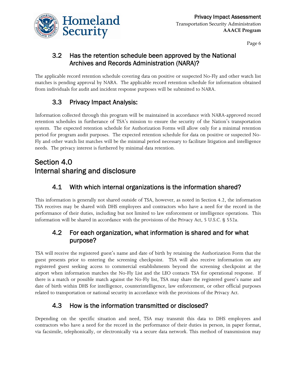

### 3.2 Has the retention schedule been approved by the National Archives and Records Administration (NARA)?

The applicable record retention schedule covering data on positive or suspected No-Fly and other watch list matches is pending approval by NARA. The applicable record retention schedule for information obtained from individuals for audit and incident response purposes will be submitted to NARA.

# 3.3 Privacy Impact Analysis:

Information collected through this program will be maintained in accordance with NARA-approved record retention schedules in furtherance of TSA's mission to ensure the security of the Nation's transportation system. The expected retention schedule for Authorization Forms will allow only for a minimal retention period for program audit purposes. The expected retention schedule for data on positive or suspected No-Fly and other watch list matches will be the minimal period necessary to facilitate litigation and intelligence needs. The privacy interest is furthered by minimal data retention.

# Section 4.0 Internal sharing and disclosure

### 4.1 With which internal organizations is the information shared?

This information is generally not shared outside of TSA, however, as noted in Section 4.2, the information TSA receives may be shared with DHS employees and contractors who have a need for the record in the performance of their duties, including but not limited to law enforcement or intelligence operations. This information will be shared in accordance with the provisions of the Privacy Act, 5 U.S.C. § 552a.

#### 4.2 For each organization, what information is shared and for what purpose?

TSA will receive the registered guest's name and date of birth by retaining the Authorization Form that the guest presents prior to entering the screening checkpoint. TSA will also receive information on any registered guest seeking access to commercial establishments beyond the screening checkpoint at the airport when information matches the No-Fly List and the LEO contacts TSA for operational response. If there is a match or possible match against the No-Fly list, TSA may share the registered guest's name and date of birth within DHS for intelligence, counterintelligence, law enforcement, or other official purposes related to transportation or national security in accordance with the provisions of the Privacy Act.

### 4.3 How is the information transmitted or disclosed?

Depending on the specific situation and need, TSA may transmit this data to DHS employees and contractors who have a need for the record in the performance of their duties in person, in paper format, via facsimile, telephonically, or electronically via a secure data network. This method of transmission may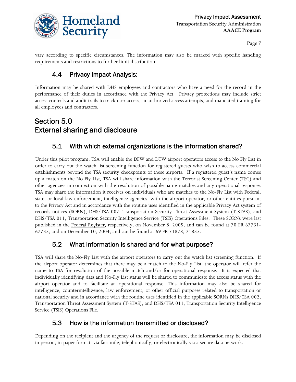

vary according to specific circumstances. The information may also be marked with specific handling requirements and restrictions to further limit distribution.

### 4.4 Privacy Impact Analysis:

Information may be shared with DHS employees and contractors who have a need for the record in the performance of their duties in accordance with the Privacy Act. Privacy protections may include strict access controls and audit trails to track user access, unauthorized access attempts, and mandated training for all employees and contractors.

# Section 5.0 External sharing and disclosure

#### 5.1 With which external organizations is the information shared?

Under this pilot program, TSA will enable the DFW and DTW airport operators access to the No Fly List in order to carry out the watch list screening function for registered guests who wish to access commercial establishments beyond the TSA security checkpoints of these airports. If a registered guest's name comes up a match on the No Fly List, TSA will share information with the Terrorist Screening Center (TSC) and other agencies in connection with the resolution of possible name matches and any operational response. TSA may share the information it receives on individuals who are matches to the No-Fly List with Federal, state, or local law enforcement, intelligence agencies, with the airport operator, or other entities pursuant to the Privacy Act and in accordance with the routine uses identified in the applicable Privacy Act system of records notices (SORN), DHS/TSA 002, Transportation Security Threat Assessment System (T-STAS), and DHS/TSA 011, Transportation Security Intelligence Service (TSIS) Operations Files. These SORNs were last published in the Federal Register, respectively, on November 8, 2005, and can be found at 70 FR 67731- 67735, and on December 10, 2004, and can be found at 69 FR 71828, 71835.

### 5.2 What information is shared and for what purpose?

TSA will share the No-Fly List with the airport operators to carry out the watch list screening function. If the airport operator determines that there may be a match to the No-Fly List, the operator will refer the name to TSA for resolution of the possible match and/or for operational response. It is expected that individually identifying data and No-Fly List status will be shared to communicate the access status with the airport operator and to facilitate an operational response. This information may also be shared for intelligence, counterintelligence, law enforcement, or other official purposes related to transportation or national security and in accordance with the routine uses identified in the applicable SORNs DHS/TSA 002, Transportation Threat Assessment System (T-STAS), and DHS/TSA 011, Transportation Security Intelligence Service (TSIS) Operations File.

#### 5.3 How is the information transmitted or disclosed?

Depending on the recipient and the urgency of the request or disclosure, the information may be disclosed in person, in paper format, via facsimile, telephonically, or electronically via a secure data network.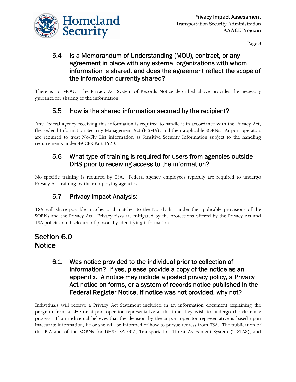

### 5.4 Is a Memorandum of Understanding (MOU), contract, or any agreement in place with any external organizations with whom information is shared, and does the agreement reflect the scope of the information currently shared?

There is no MOU. The Privacy Act System of Records Notice described above provides the necessary guidance for sharing of the information.

### 5.5 How is the shared information secured by the recipient?

Any Federal agency receiving this information is required to handle it in accordance with the Privacy Act, the Federal Information Security Management Act (FISMA), and their applicable SORNs. Airport operators are required to treat No-Fly List information as Sensitive Security Information subject to the handling requirements under 49 CFR Part 1520.

### 5.6 What type of training is required for users from agencies outside DHS prior to receiving access to the information?

No specific training is required by TSA. Federal agency employees typically are required to undergo Privacy Act training by their employing agencies

# 5.7 Privacy Impact Analysis:

TSA will share possible matches and matches to the No-Fly list under the applicable provisions of the SORNs and the Privacy Act. Privacy risks are mitigated by the protections offered by the Privacy Act and TSA policies on disclosure of personally identifying information.

### Section 6.0 **Notice**

#### 6.1 Was notice provided to the individual prior to collection of information? If yes, please provide a copy of the notice as an appendix. A notice may include a posted privacy policy, a Privacy Act notice on forms, or a system of records notice published in the Federal Register Notice. If notice was not provided, why not?

Individuals will receive a Privacy Act Statement included in an information document explaining the program from a LEO or airport operator representative at the time they wish to undergo the clearance process. If an individual believes that the decision by the airport operator representative is based upon inaccurate information, he or she will be informed of how to pursue redress from TSA. The publication of this PIA and of the SORNs for DHS/TSA 002, Transportation Threat Assessment System (T-STAS), and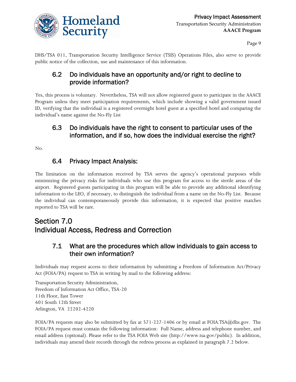

DHS/TSA 011, Transportation Security Intelligence Service (TSIS) Operations Files, also serve to provide public notice of the collection, use and maintenance of this information.

### 6.2 Do individuals have an opportunity and/or right to decline to provide information?

Yes, this process is voluntary. Nevertheless, TSA will not allow registered guest to participate in the AAACE Program unless they meet participation requirements, which include showing a valid government issued ID, verifying that the individual is a registered overnight hotel guest at a specified hotel and comparing the individual's name against the No-Fly List

### 6.3 Do individuals have the right to consent to particular uses of the information, and if so, how does the individual exercise the right?

No.

#### 6.4 Privacy Impact Analysis:

The limitation on the information received by TSA serves the agency's operational purposes while minimizing the privacy risks for individuals who use this program for access to the sterile areas of the airport. Registered guests participating in this program will be able to provide any additional identifying information to the LEO, if necessary, to distinguish the individual from a name on the No-Fly List. Because the individual can contemporaneously provide this information, it is expected that positive matches reported to TSA will be rare.

# Section 7.0 Individual Access, Redress and Correction

#### 7.1 What are the procedures which allow individuals to gain access to their own information?

Individuals may request access to their information by submitting a Freedom of Information Act/Privacy Act (FOIA/PA) request to TSA in writing by mail to the following address:

Transportation Security Administration, Freedom of Information Act Office, TSA-20 11th Floor, East Tower 601 South 12th Street Arlington, VA 22202-4220

FOIA/PA requests may also be submitted by fax at 571-227-1406 or by email at FOIA.TSA@dhs.gov. The FOIA/PA request must contain the following information: Full Name, address and telephone number, and email address (optional). Please refer to the TSA FOIA Web site (http://www.tsa.gov/public). In addition, individuals may amend their records through the redress process as explained in paragraph 7.2 below.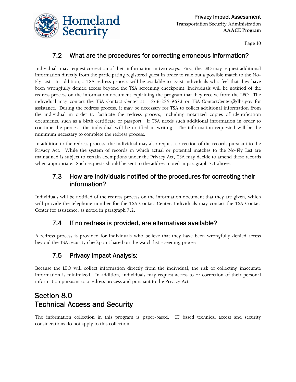

#### 7.2 What are the procedures for correcting erroneous information?

Individuals may request correction of their information in two ways. First, the LEO may request additional information directly from the participating registered guest in order to rule out a possible match to the No-Fly List. In addition, a TSA redress process will be available to assist individuals who feel that they have been wrongfully denied access beyond the TSA screening checkpoint. Individuals will be notified of the redress process on the information document explaining the program that they receive from the LEO. The individual may contact the TSA Contact Center at 1-866-289-9673 or TSA-ContactCenter@dhs.gov for assistance. During the redress process, it may be necessary for TSA to collect additional information from the individual in order to facilitate the redress process, including notarized copies of identification documents, such as a birth certificate or passport. If TSA needs such additional information in order to continue the process, the individual will be notified in writing. The information requested will be the minimum necessary to complete the redress process.

In addition to the redress process, the individual may also request correction of the records pursuant to the Privacy Act. While the system of records in which actual or potential matches to the No-Fly List are maintained is subject to certain exemptions under the Privacy Act, TSA may decide to amend these records when appropriate. Such requests should be sent to the address noted in paragraph 7.1 above.

#### 7.3 How are individuals notified of the procedures for correcting their information?

Individuals will be notified of the redress process on the information document that they are given, which will provide the telephone number for the TSA Contact Center. Individuals may contact the TSA Contact Center for assistance, as noted in paragraph 7.2.

#### 7.4 If no redress is provided, are alternatives available?

A redress process is provided for individuals who believe that they have been wrongfully denied access beyond the TSA security checkpoint based on the watch list screening process.

### 7.5 Privacy Impact Analysis:

Because the LEO will collect information directly from the individual, the risk of collecting inaccurate information is minimized. In addition, individuals may request access to or correction of their personal information pursuant to a redress process and pursuant to the Privacy Act.

# Section 8.0 Technical Access and Security

The information collection in this program is paper-based. IT based technical access and security considerations do not apply to this collection.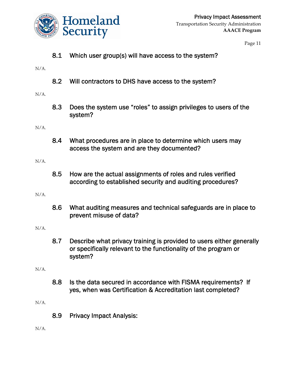

8.1 Which user group(s) will have access to the system?

N/A.

8.2 Will contractors to DHS have access to the system?

N/A.

8.3 Does the system use "roles" to assign privileges to users of the system?

N/A.

8.4 What procedures are in place to determine which users may access the system and are they documented?

N/A.

8.5 How are the actual assignments of roles and rules verified according to established security and auditing procedures?

N/A.

8.6 What auditing measures and technical safeguards are in place to prevent misuse of data?

N/A.

8.7 Describe what privacy training is provided to users either generally or specifically relevant to the functionality of the program or system?

N/A.

8.8 Is the data secured in accordance with FISMA requirements? If yes, when was Certification & Accreditation last completed?

N/A.

8.9 Privacy Impact Analysis:

N/A.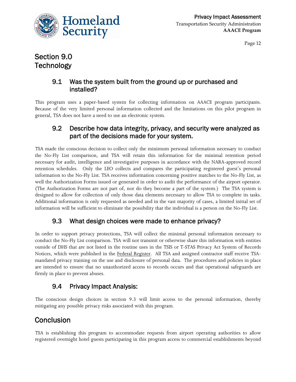

# Section 9.0 **Technology**

#### 9.1 Was the system built from the ground up or purchased and installed?

This program uses a paper-based system for collecting information on AAACE program participants. Because of the very limited personal information collected and the limitations on this pilot program in general, TSA does not have a need to use an electronic system.

#### 9.2 Describe how data integrity, privacy, and security were analyzed as part of the decisions made for your system.

TSA made the conscious decision to collect only the minimum personal information necessary to conduct the No-Fly List comparison, and TSA will retain this information for the minimal retention period necessary for audit, intelligence and investigative purposes in accordance with the NARA-approved record retention schedules. Only the LEO collects and compares the participating registered guest's personal information to the No-Fly List. TSA receives information concerning positive matches to the No-Fly List, as well the Authorization Forms issued or generated in order to audit the performance of the airport operator. (The Authorization Forms are not part of, nor do they become a part of the system.) The TSA system is designed to allow for collection of only those data elements necessary to allow TSA to complete its tasks. Additional information is only requested as needed and in the vast majority of cases, a limited initial set of information will be sufficient to eliminate the possibility that the individual is a person on the No-Fly List.

#### 9.3 What design choices were made to enhance privacy?

In order to support privacy protections, TSA will collect the minimal personal information necessary to conduct the No-Fly List comparison. TSA will not transmit or otherwise share this information with entities outside of DHS that are not listed in the routine uses in the TSIS or T-STAS Privacy Act System of Records Notices, which were published in the Federal Register. All TSA and assigned contractor staff receive TSAmandated privacy training on the use and disclosure of personal data. The procedures and policies in place are intended to ensure that no unauthorized access to records occurs and that operational safeguards are firmly in place to prevent abuses.

#### 9.4 Privacy Impact Analysis:

The conscious design choices in section 9.3 will limit access to the personal information, thereby mitigating any possible privacy risks associated with this program.

# **Conclusion**

TSA is establishing this program to accommodate requests from airport operating authorities to allow registered overnight hotel guests participating in this program access to commercial establishments beyond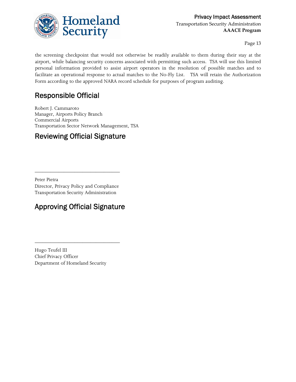

the screening checkpoint that would not otherwise be readily available to them during their stay at the airport, while balancing security concerns associated with permitting such access. TSA will use this limited personal information provided to assist airport operators in the resolution of possible matches and to facilitate an operational response to actual matches to the No-Fly List. TSA will retain the Authorization Form according to the approved NARA record schedule for purposes of program auditing.

# Responsible Official

Robert J. Cammaroto Manager, Airports Policy Branch Commercial Airports Transportation Sector Network Management, TSA

# Reviewing Official Signature

Peter Pietra Director, Privacy Policy and Compliance Transportation Security Administration

\_\_\_\_\_\_\_\_\_\_\_\_\_\_\_\_\_\_\_\_\_\_\_\_\_\_\_\_\_\_\_\_

# Approving Official Signature

\_\_\_\_\_\_\_\_\_\_\_\_\_\_\_\_\_\_\_\_\_\_\_\_\_\_\_\_\_\_\_\_

Hugo Teufel III Chief Privacy Officer Department of Homeland Security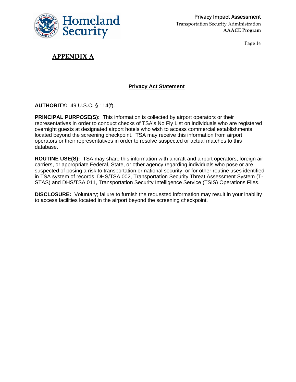

### **APPENDIX A**

#### **Privacy Act Statement**

**AUTHORITY:** 49 U.S.C. § 114(f).

**PRINCIPAL PURPOSE(S):** This information is collected by airport operators or their representatives in order to conduct checks of TSA's No Fly List on individuals who are registered overnight guests at designated airport hotels who wish to access commercial establishments located beyond the screening checkpoint. TSA may receive this information from airport operators or their representatives in order to resolve suspected or actual matches to this database.

**ROUTINE USE(S):** TSA may share this information with aircraft and airport operators, foreign air carriers, or appropriate Federal, State, or other agency regarding individuals who pose or are suspected of posing a risk to transportation or national security, or for other routine uses identified in TSA system of records, DHS/TSA 002, Transportation Security Threat Assessment System (T-STAS) and DHS/TSA 011, Transportation Security Intelligence Service (TSIS) Operations Files.

**DISCLOSURE:** Voluntary; failure to furnish the requested information may result in your inability to access facilities located in the airport beyond the screening checkpoint.